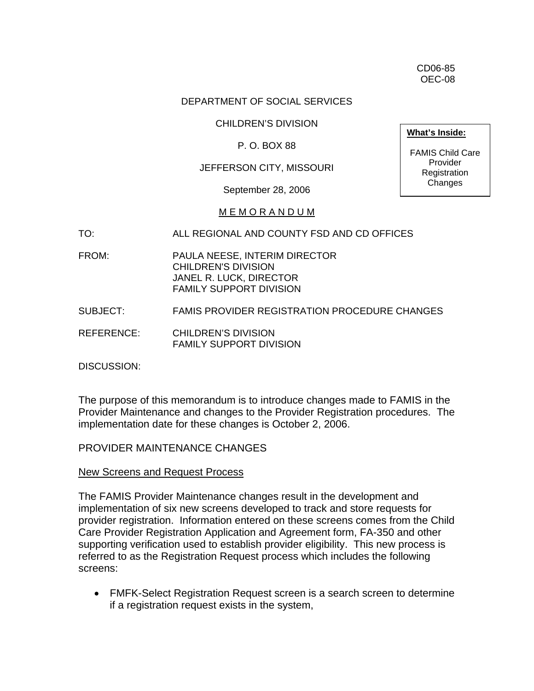CD06-85 OEC-08

### DEPARTMENT OF SOCIAL SERVICES

### CHILDREN'S DIVISION

### P. O. BOX 88

### JEFFERSON CITY, MISSOURI

September 28, 2006

#### M E M O R A N D U M

TO: ALL REGIONAL AND COUNTY FSD AND CD OFFICES

- FROM: PAULA NEESE, INTERIM DIRECTOR CHILDREN'S DIVISION JANEL R. LUCK, DIRECTOR FAMILY SUPPORT DIVISION
- SUBJECT: FAMIS PROVIDER REGISTRATION PROCEDURE CHANGES
- REFERENCE: CHILDREN'S DIVISION FAMILY SUPPORT DIVISION

DISCUSSION:

The purpose of this memorandum is to introduce changes made to FAMIS in the Provider Maintenance and changes to the Provider Registration procedures. The implementation date for these changes is October 2, 2006.

### PROVIDER MAINTENANCE CHANGES

#### New Screens and Request Process

The FAMIS Provider Maintenance changes result in the development and implementation of six new screens developed to track and store requests for provider registration. Information entered on these screens comes from the Child Care Provider Registration Application and Agreement form, FA-350 and other supporting verification used to establish provider eligibility. This new process is referred to as the Registration Request process which includes the following screens:

• FMFK-Select Registration Request screen is a search screen to determine if a registration request exists in the system,

**What's Inside:**

FAMIS Child Care Provider Registration Changes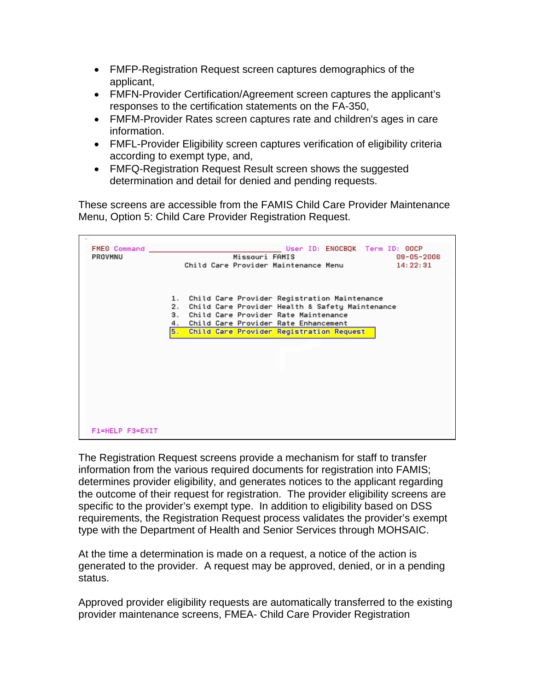- FMFP-Registration Request screen captures demographics of the applicant,
- FMFN-Provider Certification/Agreement screen captures the applicant's responses to the certification statements on the FA-350,
- FMFM-Provider Rates screen captures rate and children's ages in care information.
- FMFL-Provider Eligibility screen captures verification of eligibility criteria according to exempt type, and,
- FMFQ-Registration Request Result screen shows the suggested determination and detail for denied and pending requests.

These screens are accessible from the FAMIS Child Care Provider Maintenance Menu, Option 5: Child Care Provider Registration Request.

| FMEG Command    | User ID: ENOCBOK Term ID: 00CP                        |  |  |  |
|-----------------|-------------------------------------------------------|--|--|--|
| PROVMNU         | Missouri FAMIS<br>09-05-2006                          |  |  |  |
|                 | Child Care Provider Maintenance Menu<br>14: 22: 31    |  |  |  |
|                 |                                                       |  |  |  |
|                 |                                                       |  |  |  |
|                 | 1. Child Care Provider Registration Maintenance       |  |  |  |
|                 | Child Care Provider Health & Safety Maintenance<br>2. |  |  |  |
|                 | 3.<br>Child Care Provider Rate Maintenance            |  |  |  |
|                 | Child Care Provider Rate Enhancement<br>4.            |  |  |  |
|                 | <b>B.</b><br>Child Care Provider Registration Request |  |  |  |
|                 |                                                       |  |  |  |
|                 |                                                       |  |  |  |
|                 |                                                       |  |  |  |
|                 |                                                       |  |  |  |
|                 |                                                       |  |  |  |
|                 |                                                       |  |  |  |
|                 |                                                       |  |  |  |
|                 |                                                       |  |  |  |
|                 |                                                       |  |  |  |
|                 |                                                       |  |  |  |
| F1=HELP F3=EXIT |                                                       |  |  |  |

The Registration Request screens provide a mechanism for staff to transfer information from the various required documents for registration into FAMIS; determines provider eligibility, and generates notices to the applicant regarding the outcome of their request for registration. The provider eligibility screens are specific to the provider's exempt type. In addition to eligibility based on DSS requirements, the Registration Request process validates the provider's exempt type with the Department of Health and Senior Services through MOHSAIC.

At the time a determination is made on a request, a notice of the action is generated to the provider. A request may be approved, denied, or in a pending status.

Approved provider eligibility requests are automatically transferred to the existing provider maintenance screens, FMEA- Child Care Provider Registration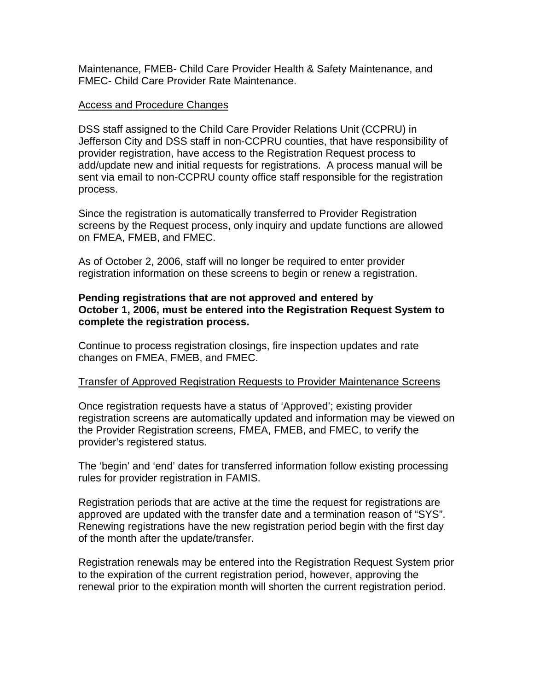Maintenance, FMEB- Child Care Provider Health & Safety Maintenance, and FMEC- Child Care Provider Rate Maintenance.

### Access and Procedure Changes

DSS staff assigned to the Child Care Provider Relations Unit (CCPRU) in Jefferson City and DSS staff in non-CCPRU counties, that have responsibility of provider registration, have access to the Registration Request process to add/update new and initial requests for registrations. A process manual will be sent via email to non-CCPRU county office staff responsible for the registration process.

Since the registration is automatically transferred to Provider Registration screens by the Request process, only inquiry and update functions are allowed on FMEA, FMEB, and FMEC.

As of October 2, 2006, staff will no longer be required to enter provider registration information on these screens to begin or renew a registration.

## **Pending registrations that are not approved and entered by October 1, 2006, must be entered into the Registration Request System to complete the registration process.**

Continue to process registration closings, fire inspection updates and rate changes on FMEA, FMEB, and FMEC.

### Transfer of Approved Registration Requests to Provider Maintenance Screens

Once registration requests have a status of 'Approved'; existing provider registration screens are automatically updated and information may be viewed on the Provider Registration screens, FMEA, FMEB, and FMEC, to verify the provider's registered status.

The 'begin' and 'end' dates for transferred information follow existing processing rules for provider registration in FAMIS.

Registration periods that are active at the time the request for registrations are approved are updated with the transfer date and a termination reason of "SYS". Renewing registrations have the new registration period begin with the first day of the month after the update/transfer.

Registration renewals may be entered into the Registration Request System prior to the expiration of the current registration period, however, approving the renewal prior to the expiration month will shorten the current registration period.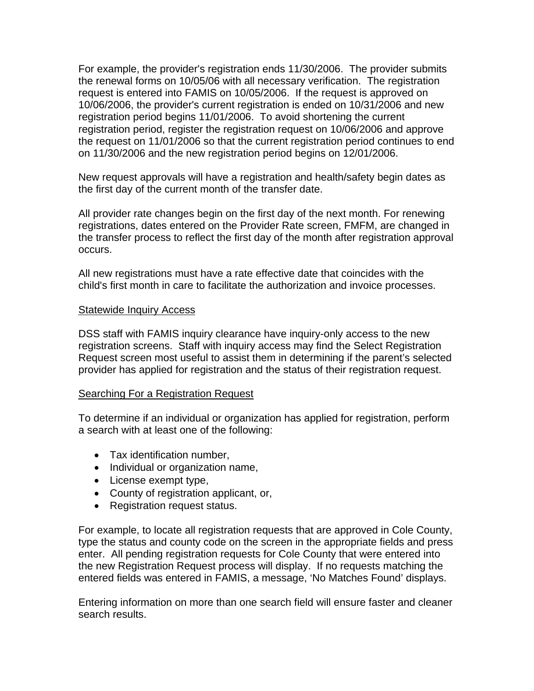For example, the provider's registration ends 11/30/2006. The provider submits the renewal forms on 10/05/06 with all necessary verification. The registration request is entered into FAMIS on 10/05/2006. If the request is approved on 10/06/2006, the provider's current registration is ended on 10/31/2006 and new registration period begins 11/01/2006. To avoid shortening the current registration period, register the registration request on 10/06/2006 and approve the request on 11/01/2006 so that the current registration period continues to end on 11/30/2006 and the new registration period begins on 12/01/2006.

New request approvals will have a registration and health/safety begin dates as the first day of the current month of the transfer date.

All provider rate changes begin on the first day of the next month. For renewing registrations, dates entered on the Provider Rate screen, FMFM, are changed in the transfer process to reflect the first day of the month after registration approval occurs.

All new registrations must have a rate effective date that coincides with the child's first month in care to facilitate the authorization and invoice processes.

### Statewide Inquiry Access

DSS staff with FAMIS inquiry clearance have inquiry-only access to the new registration screens. Staff with inquiry access may find the Select Registration Request screen most useful to assist them in determining if the parent's selected provider has applied for registration and the status of their registration request.

### Searching For a Registration Request

To determine if an individual or organization has applied for registration, perform a search with at least one of the following:

- Tax identification number,
- Individual or organization name,
- License exempt type,
- County of registration applicant, or,
- Registration request status.

For example, to locate all registration requests that are approved in Cole County, type the status and county code on the screen in the appropriate fields and press enter. All pending registration requests for Cole County that were entered into the new Registration Request process will display. If no requests matching the entered fields was entered in FAMIS, a message, 'No Matches Found' displays.

Entering information on more than one search field will ensure faster and cleaner search results.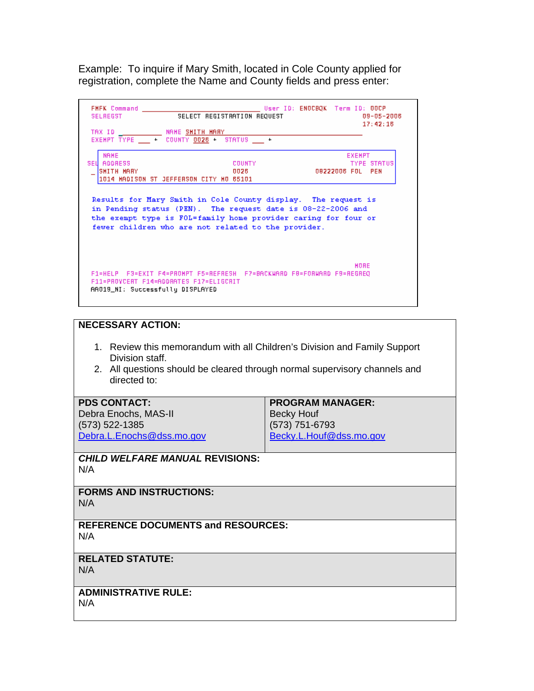Example: To inquire if Mary Smith, located in Cole County applied for registration, complete the Name and County fields and press enter:

| FMFK Command<br><b>SELREGST</b>          | SELECT REGISTRATION REQUEST<br>TAX ID NAME SHITH MARY                                                                                                                                                                                                 | User ID: ENOCBQK  Term ID: OOCP | 09-05-2006<br>17:42:18              |
|------------------------------------------|-------------------------------------------------------------------------------------------------------------------------------------------------------------------------------------------------------------------------------------------------------|---------------------------------|-------------------------------------|
|                                          | EXEMPT TYPE $-$ + COUNTY 0028 + STATUS $-$ +                                                                                                                                                                                                          |                                 |                                     |
| <b>NAHE</b><br>SEU ADDRESS<br>SMITH MARY | <b>COUNTY</b><br>0026<br>1014 HADISON ST JEFFERSON CITY HO 65101                                                                                                                                                                                      | 08222006 FOL PEN                | <b>EXEMPT</b><br><b>TYPE STATUS</b> |
|                                          | Results for Mary Smith in Cole County display. The request is<br>in Pending status (PEN). The request date is 08-22-2006 and<br>the exempt type is FOL=family home provider caring for four or<br>fewer children who are not related to the provider. |                                 |                                     |
| AA019_NI: Successfully DISPLAYED         | F11=PROYCERT F14=ADDRATES F17=ELIGCRIT                                                                                                                                                                                                                |                                 | HORE                                |

#### **NECESSARY ACTION:**

- 1. Review this memorandum with all Children's Division and Family Support Division staff.
- 2. All questions should be cleared through normal supervisory channels and directed to:

| <b>PDS CONTACT:</b>       | <b>PROGRAM MANAGER:</b> |  |
|---------------------------|-------------------------|--|
| Debra Enochs, MAS-II      | <b>Becky Houf</b>       |  |
| $(573)$ 522-1385          | (573) 751-6793          |  |
| Debra.L.Enochs@dss.mo.gov | Becky.L.Houf@dss.mo.gov |  |

*CHILD WELFARE MANUAL* **REVISIONS:**  N/A

**FORMS AND INSTRUCTIONS:**  N/A

**REFERENCE DOCUMENTS and RESOURCES:**  N/A

# **RELATED STATUTE:**

N/A

**ADMINISTRATIVE RULE:**  N/A